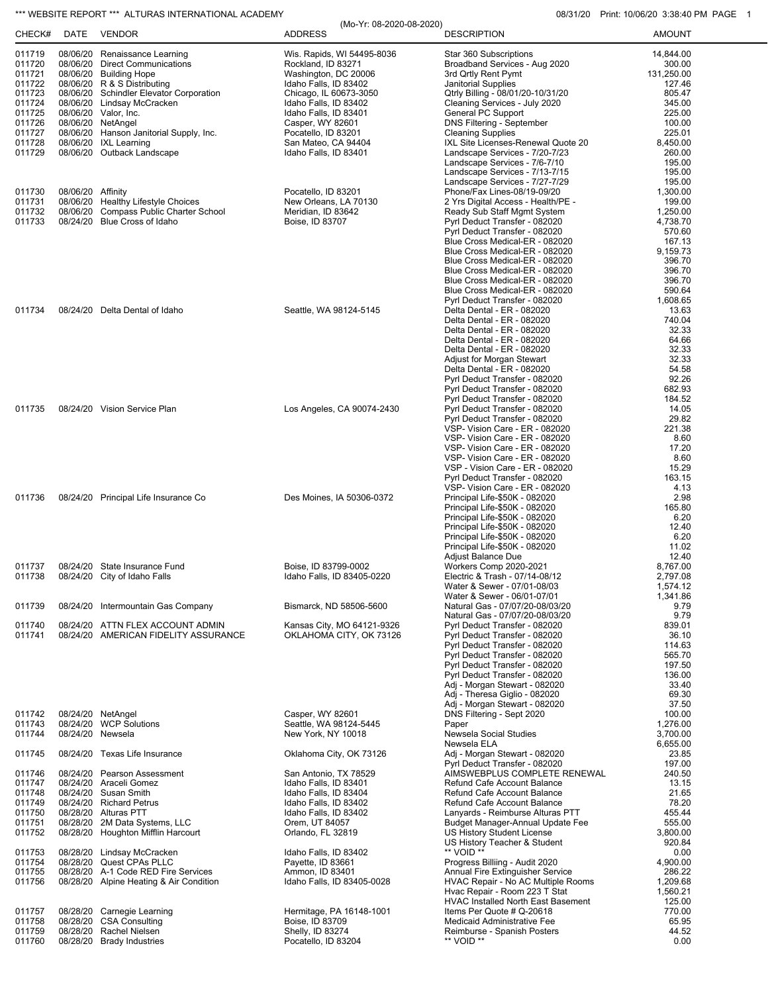## \*\*\* WEBSITE REPORT \*\*\* ALTURAS INTERNATIONAL ACADEMY **CONSUMENT CONSUMING THE CONSUMING OB**/31/20 Print: 10/06/20 3:38:40 PM PAGE 1

|                  |                   |                                                          | (Mo-Yr: 08-2020-08-2020)                       |                                                                     | 1.11111.10700720.0000000001101 |
|------------------|-------------------|----------------------------------------------------------|------------------------------------------------|---------------------------------------------------------------------|--------------------------------|
| CHECK#           |                   | DATE VENDOR                                              | <b>ADDRESS</b>                                 | <b>DESCRIPTION</b>                                                  | <b>AMOUNT</b>                  |
| 011719           |                   | 08/06/20 Renaissance Learning                            | Wis. Rapids, WI 54495-8036                     | Star 360 Subscriptions                                              | 14,844.00                      |
| 011720<br>011721 |                   | 08/06/20 Direct Communications<br>08/06/20 Building Hope | Rockland, ID 83271<br>Washington, DC 20006     | Broadband Services - Aug 2020<br>3rd Qrtly Rent Pymt                | 300.00<br>131,250.00           |
| 011722           |                   | 08/06/20 R & S Distributing                              | Idaho Falls, ID 83402                          | <b>Janitorial Supplies</b>                                          | 127.46                         |
| 011723           |                   | 08/06/20 Schindler Elevator Corporation                  | Chicago, IL 60673-3050                         | Qtrly Billing - 08/01/20-10/31/20                                   | 805.47                         |
| 011724<br>011725 |                   | 08/06/20 Lindsay McCracken                               | Idaho Falls, ID 83402                          | Cleaning Services - July 2020                                       | 345.00<br>225.00               |
| 011726           |                   | 08/06/20 Valor, Inc.<br>08/06/20 NetAngel                | Idaho Falls, ID 83401<br>Casper, WY 82601      | General PC Support<br><b>DNS Filtering - September</b>              | 100.00                         |
| 011727           |                   | 08/06/20 Hanson Janitorial Supply, Inc.                  | Pocatello, ID 83201                            | <b>Cleaning Supplies</b>                                            | 225.01                         |
| 011728           |                   | 08/06/20 IXL Learning                                    | San Mateo, CA 94404                            | IXL Site Licenses-Renewal Quote 20                                  | 8,450.00                       |
| 011729           |                   | 08/06/20 Outback Landscape                               | Idaho Falls, ID 83401                          | Landscape Services - 7/20-7/23<br>Landscape Services - 7/6-7/10     | 260.00<br>195.00               |
|                  |                   |                                                          |                                                | Landscape Services - 7/13-7/15                                      | 195.00                         |
|                  |                   |                                                          |                                                | Landscape Services - 7/27-7/29                                      | 195.00                         |
| 011730<br>011731 | 08/06/20 Affinity | 08/06/20 Healthy Lifestyle Choices                       | Pocatello, ID 83201<br>New Orleans, LA 70130   | Phone/Fax Lines-08/19-09/20<br>2 Yrs Digital Access - Health/PE -   | 1,300.00<br>199.00             |
| 011732           |                   | 08/06/20 Compass Public Charter School                   | Meridian, ID 83642                             | Ready Sub Staff Mgmt System                                         | 1,250.00                       |
| 011733           |                   | 08/24/20 Blue Cross of Idaho                             | Boise, ID 83707                                | Pyrl Deduct Transfer - 082020                                       | 4,738.70                       |
|                  |                   |                                                          |                                                | Pyrl Deduct Transfer - 082020<br>Blue Cross Medical-ER - 082020     | 570.60<br>167.13               |
|                  |                   |                                                          |                                                | Blue Cross Medical-ER - 082020                                      | 9,159.73                       |
|                  |                   |                                                          |                                                | Blue Cross Medical-ER - 082020                                      | 396.70                         |
|                  |                   |                                                          |                                                | Blue Cross Medical-ER - 082020<br>Blue Cross Medical-ER - 082020    | 396.70<br>396.70               |
|                  |                   |                                                          |                                                | Blue Cross Medical-ER - 082020                                      | 590.64                         |
|                  |                   |                                                          |                                                | Pyrl Deduct Transfer - 082020                                       | 1,608.65                       |
| 011734           |                   | 08/24/20 Delta Dental of Idaho                           | Seattle, WA 98124-5145                         | Delta Dental - ER - 082020<br>Delta Dental - ER - 082020            | 13.63<br>740.04                |
|                  |                   |                                                          |                                                | Delta Dental - ER - 082020                                          | 32.33                          |
|                  |                   |                                                          |                                                | Delta Dental - ER - 082020                                          | 64.66                          |
|                  |                   |                                                          |                                                | Delta Dental - ER - 082020<br>Adjust for Morgan Stewart             | 32.33<br>32.33                 |
|                  |                   |                                                          |                                                | Delta Dental - ER - 082020                                          | 54.58                          |
|                  |                   |                                                          |                                                | Pyrl Deduct Transfer - 082020                                       | 92.26                          |
|                  |                   |                                                          |                                                | Pyrl Deduct Transfer - 082020<br>Pyrl Deduct Transfer - 082020      | 682.93<br>184.52               |
| 011735           |                   | 08/24/20 Vision Service Plan                             | Los Angeles, CA 90074-2430                     | Pyrl Deduct Transfer - 082020                                       | 14.05                          |
|                  |                   |                                                          |                                                | Pyrl Deduct Transfer - 082020                                       | 29.82                          |
|                  |                   |                                                          |                                                | VSP- Vision Care - ER - 082020<br>VSP- Vision Care - ER - 082020    | 221.38<br>8.60                 |
|                  |                   |                                                          |                                                | VSP- Vision Care - ER - 082020                                      | 17.20                          |
|                  |                   |                                                          |                                                | VSP- Vision Care - ER - 082020                                      | 8.60                           |
|                  |                   |                                                          |                                                | VSP - Vision Care - ER - 082020                                     | 15.29                          |
|                  |                   |                                                          |                                                | Pyrl Deduct Transfer - 082020<br>VSP- Vision Care - ER - 082020     | 163.15<br>4.13                 |
| 011736           |                   | 08/24/20 Principal Life Insurance Co                     | Des Moines, IA 50306-0372                      | Principal Life-\$50K - 082020                                       | 2.98                           |
|                  |                   |                                                          |                                                | Principal Life-\$50K - 082020                                       | 165.80                         |
|                  |                   |                                                          |                                                | Principal Life-\$50K - 082020<br>Principal Life-\$50K - 082020      | 6.20<br>12.40                  |
|                  |                   |                                                          |                                                | Principal Life-\$50K - 082020                                       | 6.20                           |
|                  |                   |                                                          |                                                | Principal Life-\$50K - 082020                                       | 11.02                          |
| 011737           |                   | 08/24/20 State Insurance Fund                            | Boise, ID 83799-0002                           | Adjust Balance Due<br>Workers Comp 2020-2021                        | 12.40<br>8,767.00              |
| 011738           |                   | 08/24/20 City of Idaho Falls                             | Idaho Falls, ID 83405-0220                     | Electric & Trash - 07/14-08/12                                      | 2,797.08                       |
|                  |                   |                                                          |                                                | Water & Sewer - 07/01-08/03                                         | 1,574.12                       |
| 011739           |                   | 08/24/20 Intermountain Gas Company                       | Bismarck, ND 58506-5600                        | Water & Sewer - 06/01-07/01<br>Natural Gas - 07/07/20-08/03/20      | 1,341.86<br>9.79               |
|                  |                   |                                                          |                                                | Natural Gas - 07/07/20-08/03/20                                     | 9.79                           |
| 011740           |                   | 08/24/20 ATTN FLEX ACCOUNT ADMIN                         | Kansas City, MO 64121-9326                     | Pyrl Deduct Transfer - 082020                                       | 839.01                         |
| 011741           |                   | 08/24/20 AMERICAN FIDELITY ASSURANCE                     | OKLAHOMA CITY, OK 73126                        | Pyrl Deduct Transfer - 082020<br>Pyrl Deduct Transfer - 082020      | 36.10<br>114.63                |
|                  |                   |                                                          |                                                | Pyrl Deduct Transfer - 082020                                       | 565.70                         |
|                  |                   |                                                          |                                                | Pyrl Deduct Transfer - 082020                                       | 197.50                         |
|                  |                   |                                                          |                                                | Pyrl Deduct Transfer - 082020<br>Adj - Morgan Stewart - 082020      | 136.00<br>33.40                |
|                  |                   |                                                          |                                                | Adj - Theresa Giglio - 082020                                       | 69.30                          |
|                  |                   |                                                          |                                                | Adj - Morgan Stewart - 082020                                       | 37.50                          |
| 011742<br>011743 |                   | 08/24/20 NetAngel<br>08/24/20 WCP Solutions              | Casper, WY 82601<br>Seattle, WA 98124-5445     | DNS Filtering - Sept 2020<br>Paper                                  | 100.00<br>1,276.00             |
| 011744           | 08/24/20 Newsela  |                                                          | New York, NY 10018                             | Newsela Social Studies                                              | 3,700.00                       |
|                  |                   |                                                          |                                                | Newsela ELA                                                         | 6,655.00                       |
| 011745           |                   | 08/24/20 Texas Life Insurance                            | Oklahoma City, OK 73126                        | Adj - Morgan Stewart - 082020                                       | 23.85                          |
| 011746           |                   | 08/24/20 Pearson Assessment                              | San Antonio, TX 78529                          | Pyrl Deduct Transfer - 082020<br>AIMSWEBPLUS COMPLETE RENEWAL       | 197.00<br>240.50               |
| 011747           |                   | 08/24/20 Araceli Gomez                                   | Idaho Falls, ID 83401                          | Refund Cafe Account Balance                                         | 13.15                          |
| 011748           |                   | 08/24/20 Susan Smith                                     | Idaho Falls, ID 83404                          | Refund Cafe Account Balance                                         | 21.65                          |
| 011749<br>011750 |                   | 08/24/20 Richard Petrus<br>08/28/20 Alturas PTT          | Idaho Falls, ID 83402<br>Idaho Falls, ID 83402 | Refund Cafe Account Balance<br>Lanyards - Reimburse Alturas PTT     | 78.20<br>455.44                |
| 011751           |                   | 08/28/20 2M Data Systems, LLC                            | Orem, UT 84057                                 | Budget Manager-Annual Update Fee                                    | 555.00                         |
| 011752           |                   | 08/28/20 Houghton Mifflin Harcourt                       | Orlando, FL 32819                              | US History Student License                                          | 3,800.00                       |
| 011753           |                   | 08/28/20 Lindsay McCracken                               | Idaho Falls, ID 83402                          | US History Teacher & Student<br>** VOID **                          | 920.84<br>0.00                 |
| 011754           |                   | 08/28/20 Quest CPAs PLLC                                 | Payette, ID 83661                              | Progress Billiing - Audit 2020                                      | 4,900.00                       |
| 011755           |                   | 08/28/20 A-1 Code RED Fire Services                      | Ammon, ID 83401                                | Annual Fire Extinguisher Service                                    | 286.22                         |
| 011756           |                   | 08/28/20 Alpine Heating & Air Condition                  | Idaho Falls, ID 83405-0028                     | HVAC Repair - No AC Multiple Rooms<br>Hvac Repair - Room 223 T Stat | 1,209.68<br>1,560.21           |
|                  |                   |                                                          |                                                | <b>HVAC Installed North East Basement</b>                           | 125.00                         |
| 011757           |                   | 08/28/20 Carnegie Learning                               | Hermitage, PA 16148-1001                       | Items Per Quote # Q-20618                                           | 770.00                         |
| 011758<br>011759 |                   | 08/28/20 CSA Consulting<br>08/28/20 Rachel Nielsen       | Boise, ID 83709<br>Shelly, ID 83274            | Medicaid Administrative Fee<br>Reimburse - Spanish Posters          | 65.95<br>44.52                 |
| 011760           |                   | 08/28/20 Brady Industries                                | Pocatello, ID 83204                            | ** VOID **                                                          | 0.00                           |